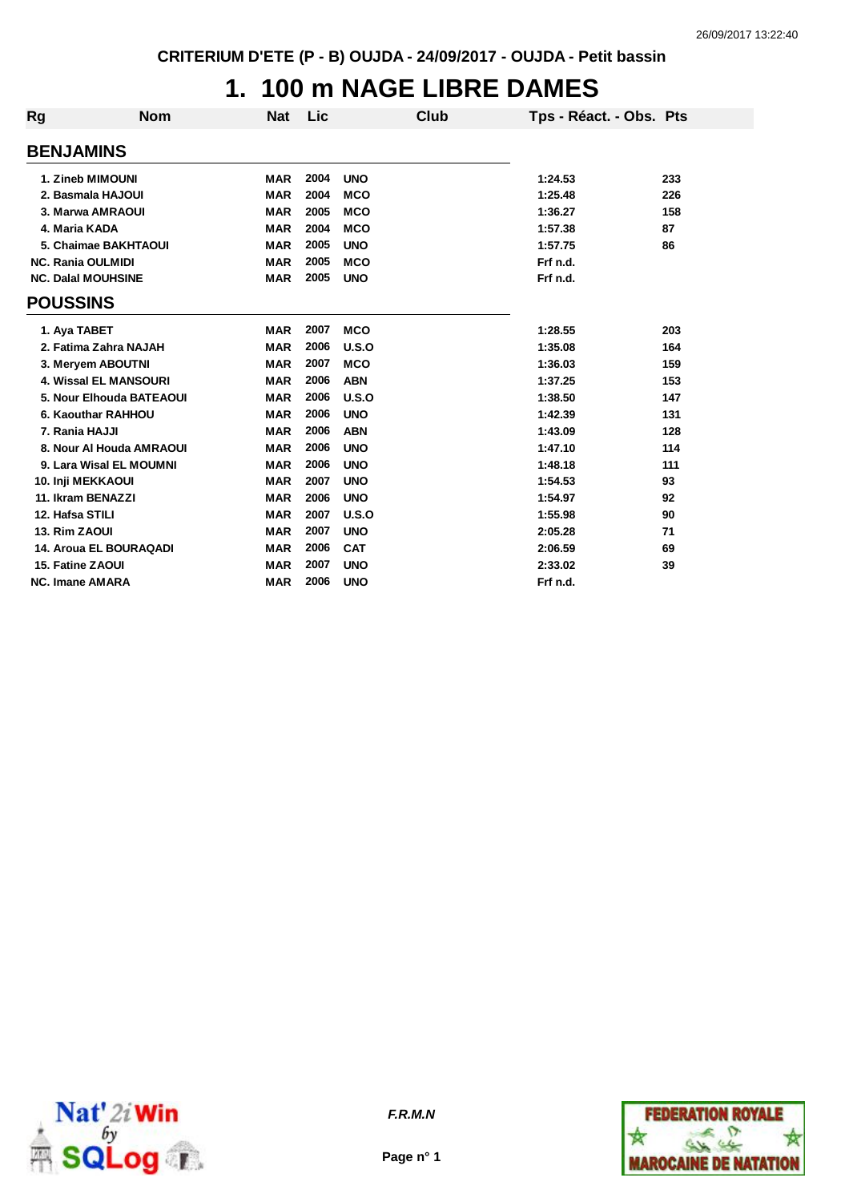## **1. 100 m NAGE LIBRE DAMES**

| <b>Rg</b>                 | <b>Nom</b>                    | <b>Nat</b>               | Lic  | <b>Club</b> | Tps - Réact. - Obs. Pts |     |
|---------------------------|-------------------------------|--------------------------|------|-------------|-------------------------|-----|
| <b>BENJAMINS</b>          |                               |                          |      |             |                         |     |
|                           | 1. Zineb MIMOUNI              | <b>MAR</b>               | 2004 | <b>UNO</b>  | 1:24.53                 | 233 |
|                           | 2. Basmala HAJOUI             |                          | 2004 |             |                         |     |
|                           | 3. Marwa AMRAOUI              | <b>MAR</b><br><b>MAR</b> | 2005 | <b>MCO</b>  | 1:25.48                 | 226 |
|                           |                               |                          |      | <b>MCO</b>  | 1:36.27                 | 158 |
| 4. Maria KADA             |                               | <b>MAR</b>               | 2004 | <b>MCO</b>  | 1:57.38                 | 87  |
|                           | 5. Chaimae BAKHTAOUI          | <b>MAR</b>               | 2005 | <b>UNO</b>  | 1:57.75                 | 86  |
| <b>NC. Rania OULMIDI</b>  |                               | <b>MAR</b>               | 2005 | <b>MCO</b>  | Frf n.d.                |     |
| <b>NC. Dalal MOUHSINE</b> |                               | <b>MAR</b>               | 2005 | <b>UNO</b>  | Frf n.d.                |     |
| <b>POUSSINS</b>           |                               |                          |      |             |                         |     |
| 1. Aya TABET              |                               | <b>MAR</b>               | 2007 | <b>MCO</b>  | 1:28.55                 | 203 |
|                           | 2. Fatima Zahra NAJAH         | <b>MAR</b>               | 2006 | U.S.O       | 1:35.08                 | 164 |
|                           | 3. Meryem ABOUTNI             | <b>MAR</b>               | 2007 | <b>MCO</b>  | 1:36.03                 | 159 |
|                           | <b>4. Wissal EL MANSOURI</b>  | <b>MAR</b>               | 2006 | <b>ABN</b>  | 1:37.25                 | 153 |
|                           | 5. Nour Elhouda BATEAOUI      | <b>MAR</b>               | 2006 | U.S.O       | 1:38.50                 | 147 |
|                           | 6. Kaouthar RAHHOU            | <b>MAR</b>               | 2006 | <b>UNO</b>  | 1:42.39                 | 131 |
| 7. Rania HAJJI            |                               | <b>MAR</b>               | 2006 | <b>ABN</b>  | 1:43.09                 | 128 |
|                           | 8. Nour Al Houda AMRAOUI      | <b>MAR</b>               | 2006 | <b>UNO</b>  | 1:47.10                 | 114 |
|                           | 9. Lara Wisal EL MOUMNI       | <b>MAR</b>               | 2006 | <b>UNO</b>  | 1:48.18                 | 111 |
| <b>10. Inji MEKKAOUI</b>  |                               | <b>MAR</b>               | 2007 | <b>UNO</b>  | 1:54.53                 | 93  |
| 11. Ikram BENAZZI         |                               | <b>MAR</b>               | 2006 | <b>UNO</b>  | 1:54.97                 | 92  |
| 12. Hafsa STILI           |                               | <b>MAR</b>               | 2007 | U.S.O       | 1:55.98                 | 90  |
| 13. Rim ZAOUI             |                               | <b>MAR</b>               | 2007 | <b>UNO</b>  | 2:05.28                 | 71  |
|                           | <b>14. Aroua EL BOURAQADI</b> | <b>MAR</b>               | 2006 | <b>CAT</b>  | 2:06.59                 | 69  |
| 15. Fatine ZAOUI          |                               | <b>MAR</b>               | 2007 | <b>UNO</b>  | 2:33.02                 | 39  |
| <b>NC. Imane AMARA</b>    |                               | <b>MAR</b>               | 2006 | <b>UNO</b>  | Frf n.d.                |     |



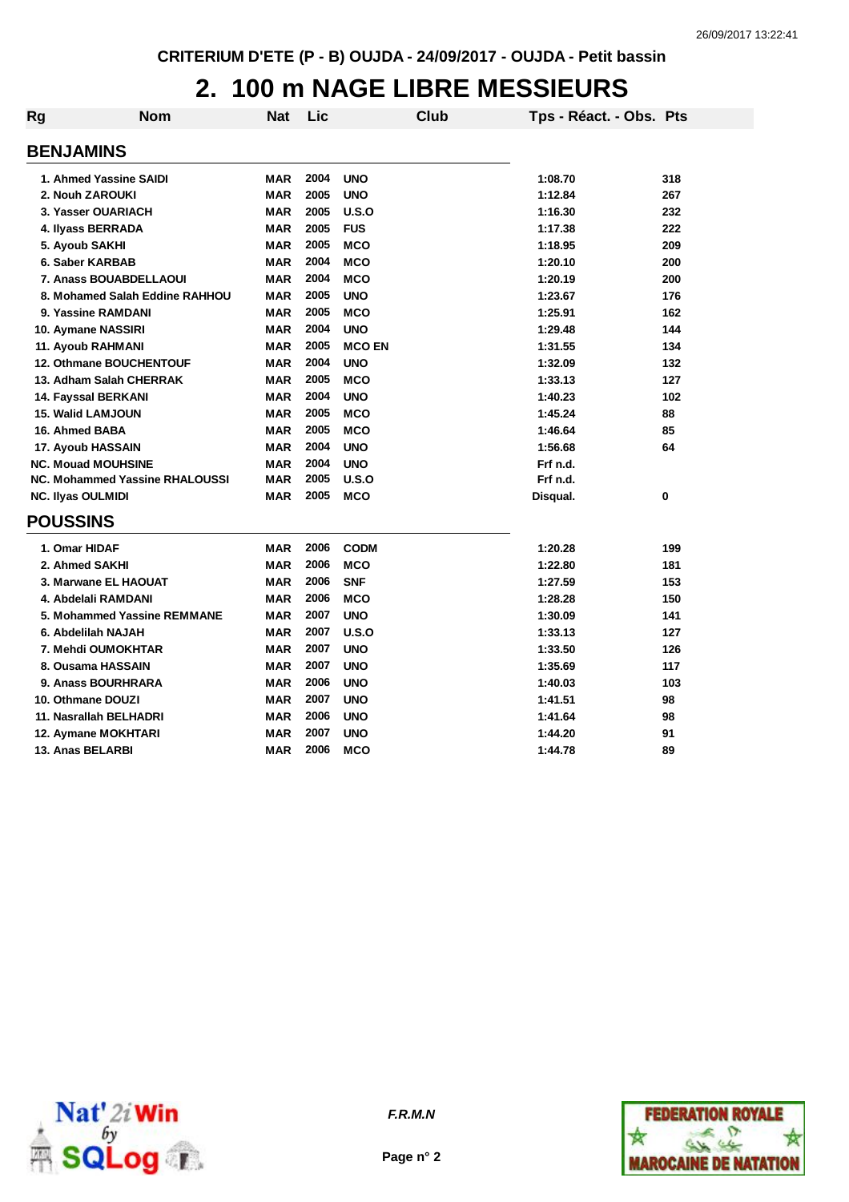#### **2. 100 m NAGE LIBRE MESSIEURS**

| <b>Rg</b> | <b>Nom</b>                            | Nat        | Lic  | <b>Club</b>   | Tps - Réact. - Obs. Pts |     |
|-----------|---------------------------------------|------------|------|---------------|-------------------------|-----|
|           | <b>BENJAMINS</b>                      |            |      |               |                         |     |
|           | 1. Ahmed Yassine SAIDI                | <b>MAR</b> | 2004 | <b>UNO</b>    | 1:08.70                 | 318 |
|           | 2. Nouh ZAROUKI                       | <b>MAR</b> | 2005 | <b>UNO</b>    | 1:12.84                 | 267 |
|           | 3. Yasser OUARIACH                    | <b>MAR</b> | 2005 | U.S.O         | 1:16.30                 | 232 |
|           | 4. Ilyass BERRADA                     | <b>MAR</b> | 2005 | <b>FUS</b>    | 1:17.38                 | 222 |
|           | 5. Ayoub SAKHI                        | <b>MAR</b> | 2005 | <b>MCO</b>    | 1:18.95                 | 209 |
|           | 6. Saber KARBAB                       | <b>MAR</b> | 2004 | <b>MCO</b>    | 1:20.10                 | 200 |
|           | 7. Anass BOUABDELLAOUI                | <b>MAR</b> | 2004 | <b>MCO</b>    | 1:20.19                 | 200 |
|           | 8. Mohamed Salah Eddine RAHHOU        | <b>MAR</b> | 2005 | <b>UNO</b>    | 1:23.67                 | 176 |
|           | 9. Yassine RAMDANI                    | <b>MAR</b> | 2005 | <b>MCO</b>    | 1:25.91                 | 162 |
|           | 10. Aymane NASSIRI                    | <b>MAR</b> | 2004 | <b>UNO</b>    | 1:29.48                 | 144 |
|           | 11. Ayoub RAHMANI                     | <b>MAR</b> | 2005 | <b>MCO EN</b> | 1:31.55                 | 134 |
|           | <b>12. Othmane BOUCHENTOUF</b>        | <b>MAR</b> | 2004 | <b>UNO</b>    | 1:32.09                 | 132 |
|           | 13. Adham Salah CHERRAK               | <b>MAR</b> | 2005 | <b>MCO</b>    | 1:33.13                 | 127 |
|           | 14. Fayssal BERKANI                   | <b>MAR</b> | 2004 | <b>UNO</b>    | 1:40.23                 | 102 |
|           | <b>15. Walid LAMJOUN</b>              | <b>MAR</b> | 2005 | <b>MCO</b>    | 1:45.24                 | 88  |
|           | 16. Ahmed BABA                        | <b>MAR</b> | 2005 | <b>MCO</b>    | 1:46.64                 | 85  |
|           | 17. Ayoub HASSAIN                     | <b>MAR</b> | 2004 | <b>UNO</b>    | 1:56.68                 | 64  |
|           | <b>NC. Mouad MOUHSINE</b>             | <b>MAR</b> | 2004 | <b>UNO</b>    | Frf n.d.                |     |
|           | <b>NC. Mohammed Yassine RHALOUSSI</b> | <b>MAR</b> | 2005 | U.S.O         | Frf n.d.                |     |
|           | <b>NC. Ilyas OULMIDI</b>              | <b>MAR</b> | 2005 | <b>MCO</b>    | Disqual.                | 0   |
|           | <b>POUSSINS</b>                       |            |      |               |                         |     |
|           | 1. Omar HIDAF                         | <b>MAR</b> | 2006 | <b>CODM</b>   | 1:20.28                 | 199 |
|           | 2. Ahmed SAKHI                        | <b>MAR</b> | 2006 | <b>MCO</b>    | 1:22.80                 | 181 |
|           | 3. Marwane EL HAOUAT                  | <b>MAR</b> | 2006 | <b>SNF</b>    | 1:27.59                 | 153 |
|           | 4. Abdelali RAMDANI                   | <b>MAR</b> | 2006 | <b>MCO</b>    | 1:28.28                 | 150 |
|           | 5. Mohammed Yassine REMMANE           | <b>MAR</b> | 2007 | <b>UNO</b>    | 1:30.09                 | 141 |
|           | 6. Abdelilah NAJAH                    | <b>MAR</b> | 2007 | U.S.O         | 1:33.13                 | 127 |
|           | 7. Mehdi OUMOKHTAR                    | <b>MAR</b> | 2007 | <b>UNO</b>    | 1:33.50                 | 126 |
|           | 8. Ousama HASSAIN                     | <b>MAR</b> | 2007 | <b>UNO</b>    | 1:35.69                 | 117 |
|           | 9. Anass BOURHRARA                    | <b>MAR</b> | 2006 | <b>UNO</b>    | 1:40.03                 | 103 |
|           | 10. Othmane DOUZI                     | <b>MAR</b> | 2007 | <b>UNO</b>    | 1:41.51                 | 98  |
|           | 11. Nasrallah BELHADRI                | <b>MAR</b> | 2006 | <b>UNO</b>    | 1:41.64                 | 98  |
|           | 12. Aymane MOKHTARI                   | <b>MAR</b> | 2007 | <b>UNO</b>    | 1:44.20                 | 91  |
|           | 13. Anas BELARBI                      | <b>MAR</b> | 2006 | <b>MCO</b>    | 1:44.78                 | 89  |



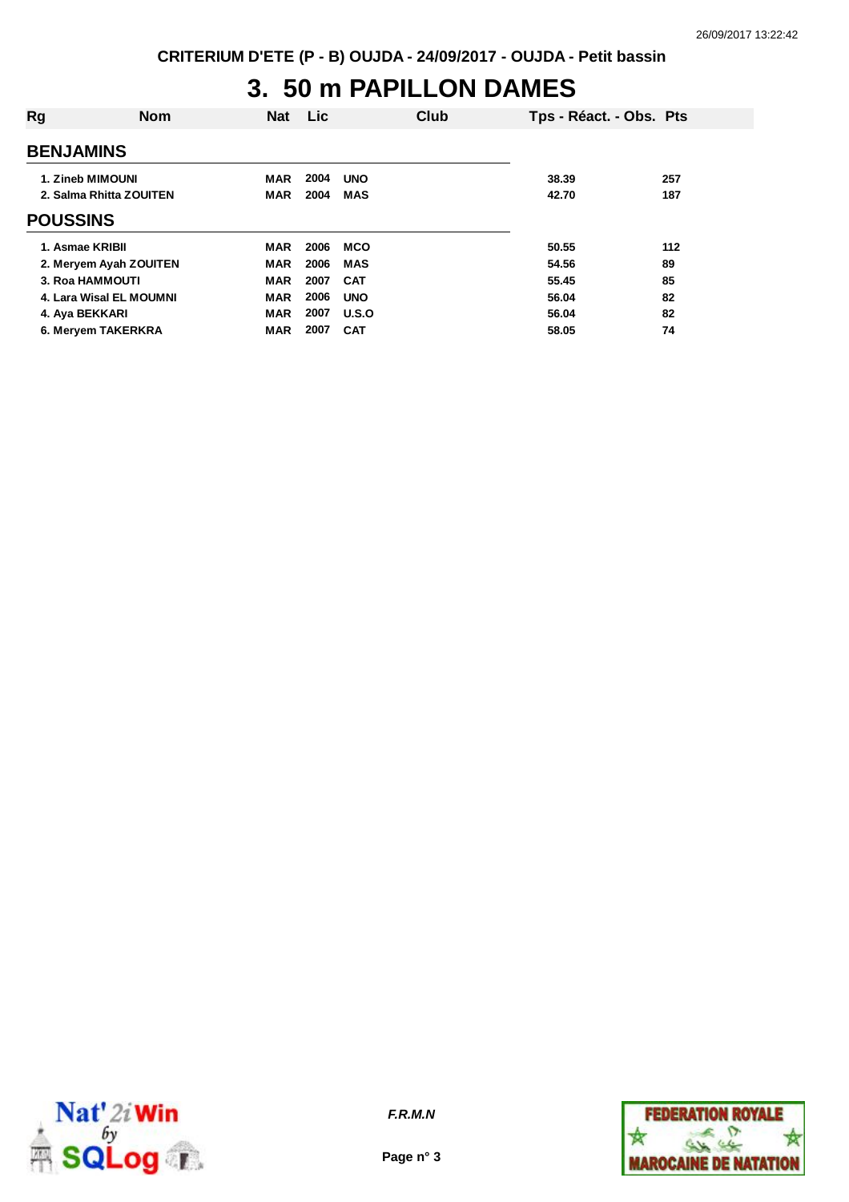## **3. 50 m PAPILLON DAMES**

| Rg               | <b>Nom</b>              | <b>Nat</b> | Lic  |            | Club | Tps - Réact. - Obs. Pts |     |
|------------------|-------------------------|------------|------|------------|------|-------------------------|-----|
| <b>BENJAMINS</b> |                         |            |      |            |      |                         |     |
| 1. Zineb MIMOUNI |                         | <b>MAR</b> | 2004 | <b>UNO</b> |      | 38.39                   | 257 |
| <b>POUSSINS</b>  | 2. Salma Rhitta ZOUITEN | <b>MAR</b> | 2004 | <b>MAS</b> |      | 42.70                   | 187 |
|                  |                         |            |      |            |      |                         |     |
| 1. Asmae KRIBII  |                         | <b>MAR</b> | 2006 | <b>MCO</b> |      | 50.55                   | 112 |
|                  | 2. Meryem Ayah ZOUITEN  | <b>MAR</b> | 2006 | <b>MAS</b> |      | 54.56                   | 89  |
| 3. Roa HAMMOUTI  |                         | <b>MAR</b> | 2007 | <b>CAT</b> |      | 55.45                   | 85  |
|                  | 4. Lara Wisal EL MOUMNI | <b>MAR</b> | 2006 | <b>UNO</b> |      | 56.04                   | 82  |
| 4. Aya BEKKARI   |                         | <b>MAR</b> | 2007 | U.S.O      |      | 56.04                   | 82  |
|                  | 6. Meryem TAKERKRA      | <b>MAR</b> | 2007 | <b>CAT</b> |      | 58.05                   | 74  |



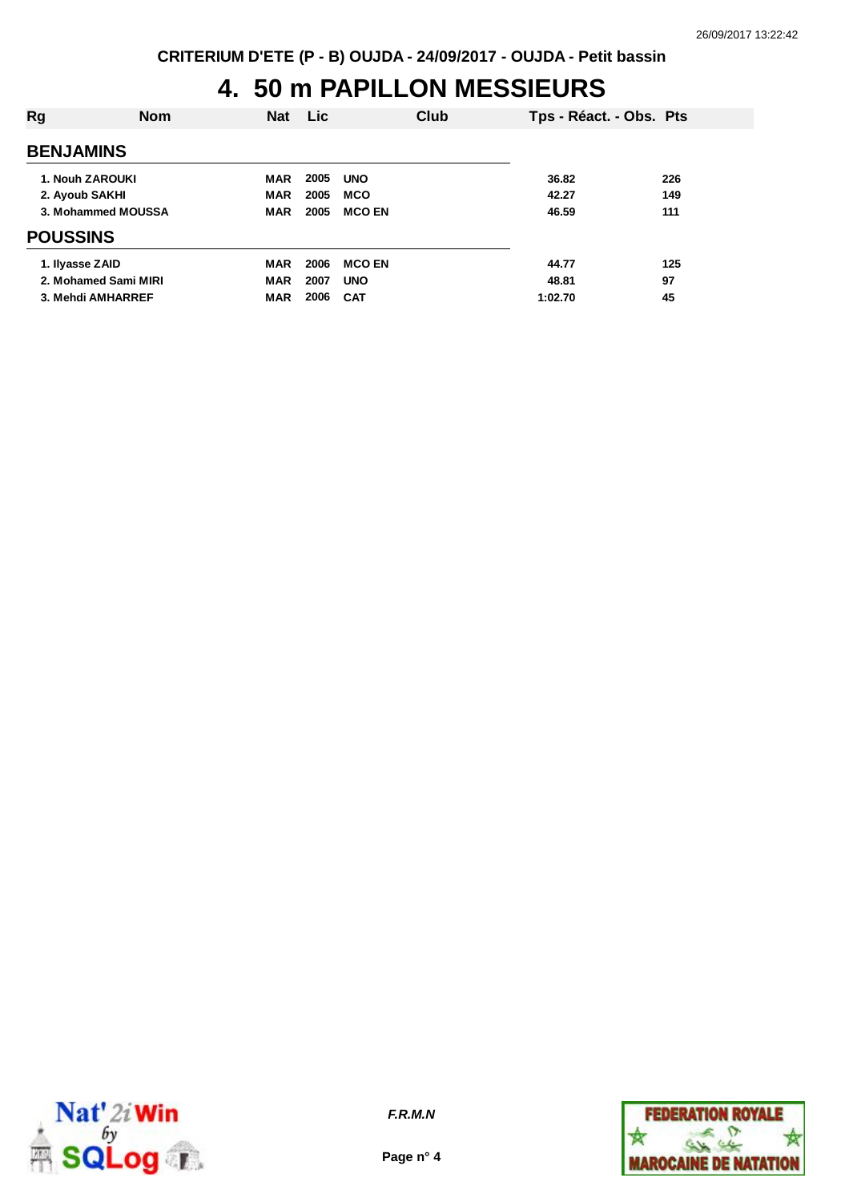# **4. 50 m PAPILLON MESSIEURS**

| Rg                 | <b>Nom</b>           | <b>Nat</b> | <b>Lic</b> | Club          | Tps - Réact. - Obs. Pts |     |
|--------------------|----------------------|------------|------------|---------------|-------------------------|-----|
| <b>BENJAMINS</b>   |                      |            |            |               |                         |     |
|                    | 1. Nouh ZAROUKI      | <b>MAR</b> | 2005       | <b>UNO</b>    | 36.82                   | 226 |
| 2. Ayoub SAKHI     |                      | <b>MAR</b> | 2005       | <b>MCO</b>    | 42.27                   | 149 |
| 3. Mohammed MOUSSA |                      | <b>MAR</b> | 2005       | <b>MCO EN</b> | 46.59                   | 111 |
| <b>POUSSINS</b>    |                      |            |            |               |                         |     |
| 1. Ilyasse ZAID    |                      | MAR        | 2006       | <b>MCO EN</b> | 44.77                   | 125 |
|                    | 2. Mohamed Sami MIRI | <b>MAR</b> | 2007       | <b>UNO</b>    | 48.81                   | 97  |
|                    | 3. Mehdi AMHARREF    | <b>MAR</b> | 2006       | <b>CAT</b>    | 1:02.70                 | 45  |
|                    |                      |            |            |               |                         |     |



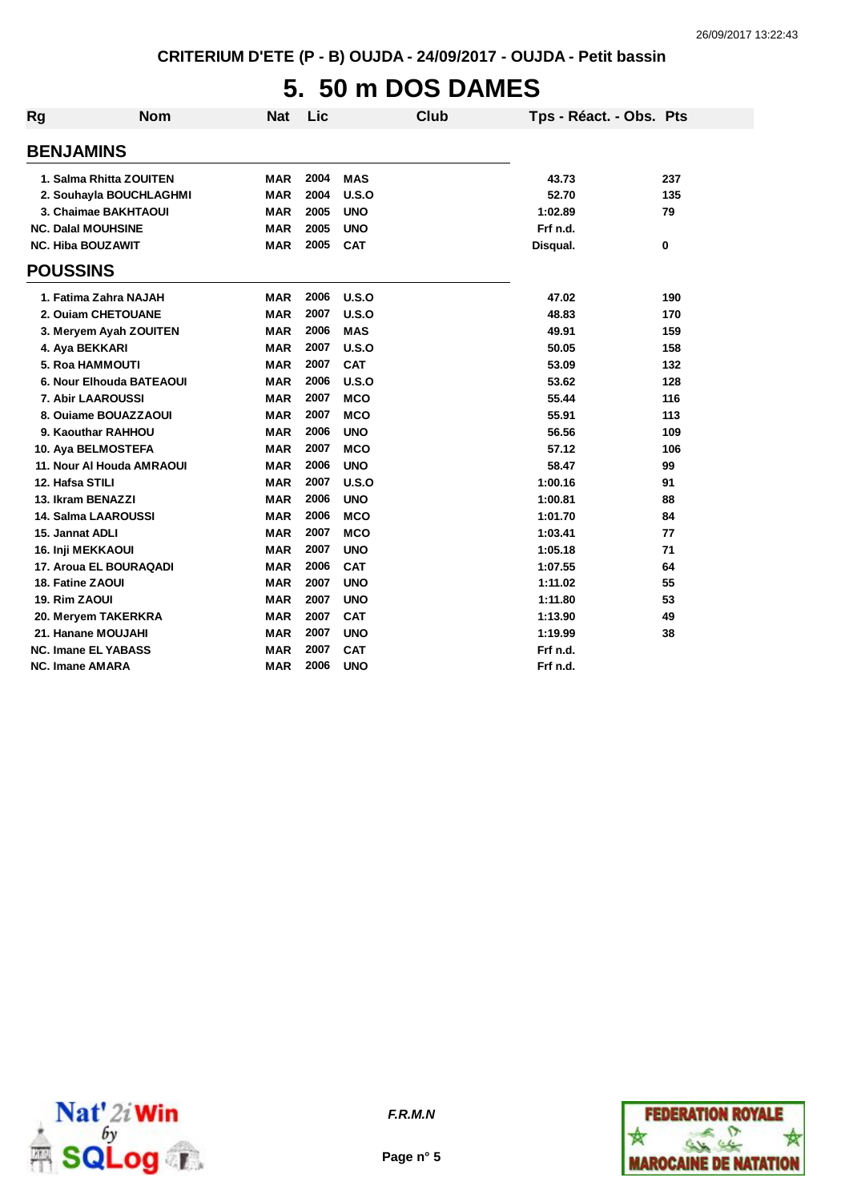## **5. 50 m DOS DAMES**

| Rg              | <b>Nom</b>                 | <b>Nat</b> | Lic  | Club       |          | Tps - Réact. - Obs. Pts |     |
|-----------------|----------------------------|------------|------|------------|----------|-------------------------|-----|
|                 | <b>BENJAMINS</b>           |            |      |            |          |                         |     |
|                 | 1. Salma Rhitta ZOUITEN    | MAR        | 2004 | MAS        | 43.73    |                         | 237 |
|                 | 2. Souhayla BOUCHLAGHMI    | <b>MAR</b> | 2004 | U.S.O      | 52.70    |                         | 135 |
|                 | 3. Chaimae BAKHTAOUI       | <b>MAR</b> | 2005 | <b>UNO</b> | 1:02.89  |                         | 79  |
|                 | <b>NC. Dalal MOUHSINE</b>  | <b>MAR</b> | 2005 | <b>UNO</b> | Frf n.d. |                         |     |
|                 | <b>NC. Hiba BOUZAWIT</b>   | <b>MAR</b> | 2005 | <b>CAT</b> | Disqual. |                         | 0   |
| <b>POUSSINS</b> |                            |            |      |            |          |                         |     |
|                 | 1. Fatima Zahra NAJAH      | <b>MAR</b> | 2006 | U.S.O      | 47.02    |                         | 190 |
|                 | 2. Ouiam CHETOUANE         | <b>MAR</b> | 2007 | U.S.O      | 48.83    |                         | 170 |
|                 | 3. Meryem Ayah ZOUITEN     | MAR        | 2006 | <b>MAS</b> | 49.91    |                         | 159 |
|                 | 4. Aya BEKKARI             | <b>MAR</b> | 2007 | U.S.O      | 50.05    |                         | 158 |
|                 | <b>5. Roa HAMMOUTI</b>     | <b>MAR</b> | 2007 | <b>CAT</b> | 53.09    |                         | 132 |
|                 | 6. Nour Elhouda BATEAOUI   | <b>MAR</b> | 2006 | U.S.O      | 53.62    |                         | 128 |
|                 | 7. Abir LAAROUSSI          | <b>MAR</b> | 2007 | <b>MCO</b> | 55.44    |                         | 116 |
|                 | 8. Ouiame BOUAZZAOUI       | <b>MAR</b> | 2007 | <b>MCO</b> | 55.91    |                         | 113 |
|                 | 9. Kaouthar RAHHOU         | <b>MAR</b> | 2006 | <b>UNO</b> | 56.56    |                         | 109 |
|                 | 10. Aya BELMOSTEFA         | <b>MAR</b> | 2007 | <b>MCO</b> | 57.12    |                         | 106 |
|                 | 11. Nour AI Houda AMRAOUI  | <b>MAR</b> | 2006 | <b>UNO</b> | 58.47    |                         | 99  |
|                 | 12. Hafsa STILI            | <b>MAR</b> | 2007 | U.S.O      | 1:00.16  |                         | 91  |
|                 | 13. Ikram BENAZZI          | <b>MAR</b> | 2006 | <b>UNO</b> | 1:00.81  |                         | 88  |
|                 | <b>14. Salma LAAROUSSI</b> | <b>MAR</b> | 2006 | <b>MCO</b> | 1:01.70  |                         | 84  |
|                 | 15. Jannat ADLI            | <b>MAR</b> | 2007 | <b>MCO</b> | 1:03.41  |                         | 77  |
|                 | <b>16. Inji MEKKAOUI</b>   | <b>MAR</b> | 2007 | <b>UNO</b> | 1:05.18  |                         | 71  |
|                 | 17. Aroua EL BOURAQADI     | <b>MAR</b> | 2006 | <b>CAT</b> | 1:07.55  |                         | 64  |
|                 | 18. Fatine ZAOUI           | <b>MAR</b> | 2007 | <b>UNO</b> | 1:11.02  |                         | 55  |
| 19. Rim ZAOUI   |                            | <b>MAR</b> | 2007 | <b>UNO</b> | 1:11.80  |                         | 53  |
|                 | 20. Meryem TAKERKRA        | <b>MAR</b> | 2007 | <b>CAT</b> | 1:13.90  |                         | 49  |
|                 | 21. Hanane MOUJAHI         | <b>MAR</b> | 2007 | <b>UNO</b> | 1:19.99  |                         | 38  |
|                 | <b>NC. Imane EL YABASS</b> | MAR        | 2007 | <b>CAT</b> | Frf n.d. |                         |     |
|                 | <b>NC. Imane AMARA</b>     | <b>MAR</b> | 2006 | <b>UNO</b> | Frf n.d. |                         |     |



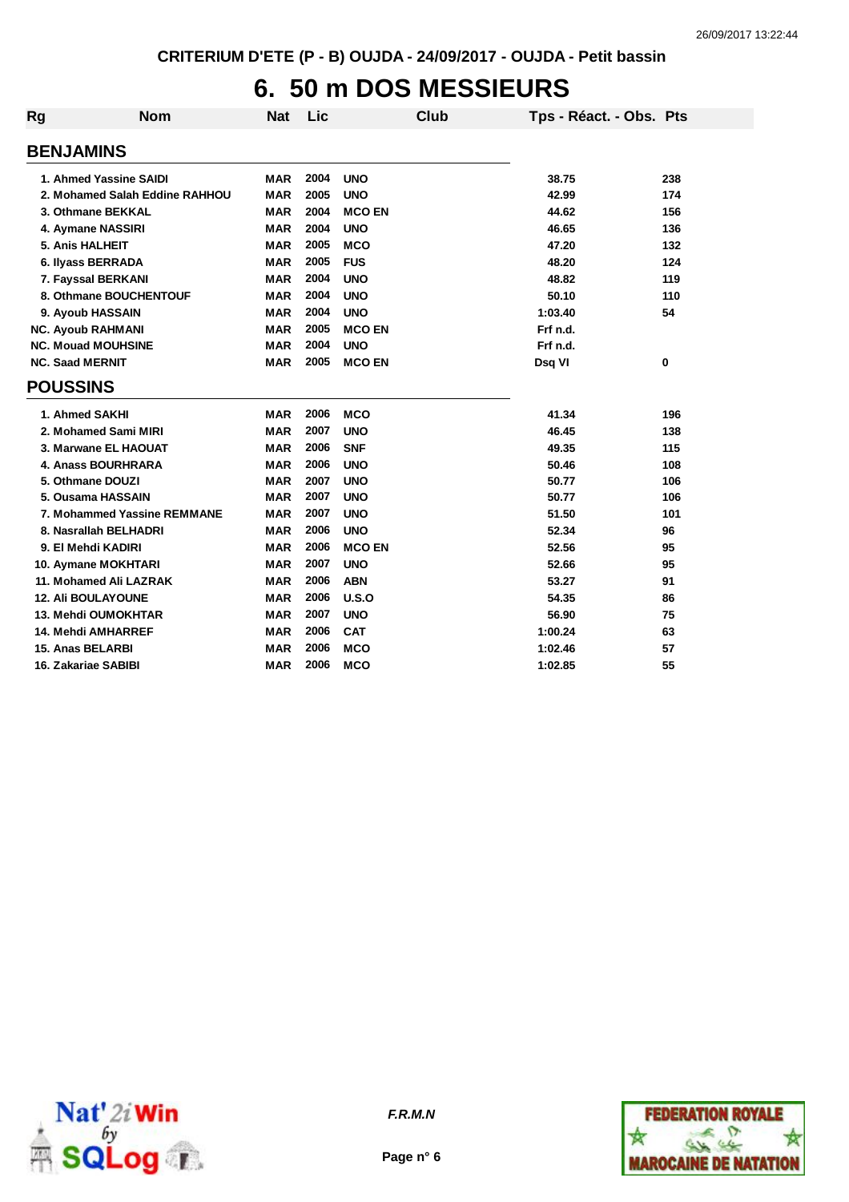## **6. 50 m DOS MESSIEURS**

| Rg                        | <b>Nom</b>                     | <b>Nat</b> | Lic  | <b>Club</b>   | Tps - Réact. - Obs. Pts |     |
|---------------------------|--------------------------------|------------|------|---------------|-------------------------|-----|
| <b>BENJAMINS</b>          |                                |            |      |               |                         |     |
|                           | 1. Ahmed Yassine SAIDI         | <b>MAR</b> | 2004 | <b>UNO</b>    | 38.75                   | 238 |
|                           | 2. Mohamed Salah Eddine RAHHOU | <b>MAR</b> | 2005 | <b>UNO</b>    | 42.99                   | 174 |
|                           | 3. Othmane BEKKAL              | <b>MAR</b> | 2004 | <b>MCO EN</b> | 44.62                   | 156 |
| 4. Aymane NASSIRI         |                                | <b>MAR</b> | 2004 | <b>UNO</b>    | 46.65                   | 136 |
| 5. Anis HALHEIT           |                                | <b>MAR</b> | 2005 | <b>MCO</b>    | 47.20                   | 132 |
| 6. Ilyass BERRADA         |                                | <b>MAR</b> | 2005 | <b>FUS</b>    | 48.20                   | 124 |
|                           | 7. Fayssal BERKANI             | <b>MAR</b> | 2004 | <b>UNO</b>    | 48.82                   | 119 |
|                           | 8. Othmane BOUCHENTOUF         | <b>MAR</b> | 2004 | <b>UNO</b>    | 50.10                   | 110 |
| 9. Ayoub HASSAIN          |                                | <b>MAR</b> | 2004 | <b>UNO</b>    | 1:03.40                 | 54  |
| <b>NC. Ayoub RAHMANI</b>  |                                | <b>MAR</b> | 2005 | <b>MCO EN</b> | Frf n.d.                |     |
| <b>NC. Mouad MOUHSINE</b> |                                | <b>MAR</b> | 2004 | <b>UNO</b>    | Frf n.d.                |     |
| <b>NC. Saad MERNIT</b>    |                                | <b>MAR</b> | 2005 | <b>MCO EN</b> | Dsq VI                  | 0   |
| <b>POUSSINS</b>           |                                |            |      |               |                         |     |
| 1. Ahmed SAKHI            |                                | <b>MAR</b> | 2006 | <b>MCO</b>    | 41.34                   | 196 |
|                           | 2. Mohamed Sami MIRI           | <b>MAR</b> | 2007 | <b>UNO</b>    | 46.45                   | 138 |
|                           | 3. Marwane EL HAOUAT           | <b>MAR</b> | 2006 | <b>SNF</b>    | 49.35                   | 115 |
|                           | 4. Anass BOURHRARA             | <b>MAR</b> | 2006 | <b>UNO</b>    | 50.46                   | 108 |
| 5. Othmane DOUZI          |                                | <b>MAR</b> | 2007 | <b>UNO</b>    | 50.77                   | 106 |
|                           | 5. Ousama HASSAIN              | <b>MAR</b> | 2007 | <b>UNO</b>    | 50.77                   | 106 |
|                           | 7. Mohammed Yassine REMMANE    | <b>MAR</b> | 2007 | <b>UNO</b>    | 51.50                   | 101 |
|                           | 8. Nasrallah BELHADRI          | <b>MAR</b> | 2006 | <b>UNO</b>    | 52.34                   | 96  |
| 9. El Mehdi KADIRI        |                                | <b>MAR</b> | 2006 | <b>MCO EN</b> | 52.56                   | 95  |
|                           | 10. Aymane MOKHTARI            | <b>MAR</b> | 2007 | <b>UNO</b>    | 52.66                   | 95  |
|                           | 11. Mohamed Ali LAZRAK         | <b>MAR</b> | 2006 | <b>ABN</b>    | 53.27                   | 91  |
| <b>12. Ali BOULAYOUNE</b> |                                | <b>MAR</b> | 2006 | U.S.O         | 54.35                   | 86  |
|                           | 13. Mehdi OUMOKHTAR            | <b>MAR</b> | 2007 | <b>UNO</b>    | 56.90                   | 75  |
|                           | 14. Mehdi AMHARREF             | <b>MAR</b> | 2006 | <b>CAT</b>    | 1:00.24                 | 63  |
| <b>15. Anas BELARBI</b>   |                                | <b>MAR</b> | 2006 | <b>MCO</b>    | 1:02.46                 | 57  |
| 16. Zakariae SABIBI       |                                | <b>MAR</b> | 2006 | <b>MCO</b>    | 1:02.85                 | 55  |





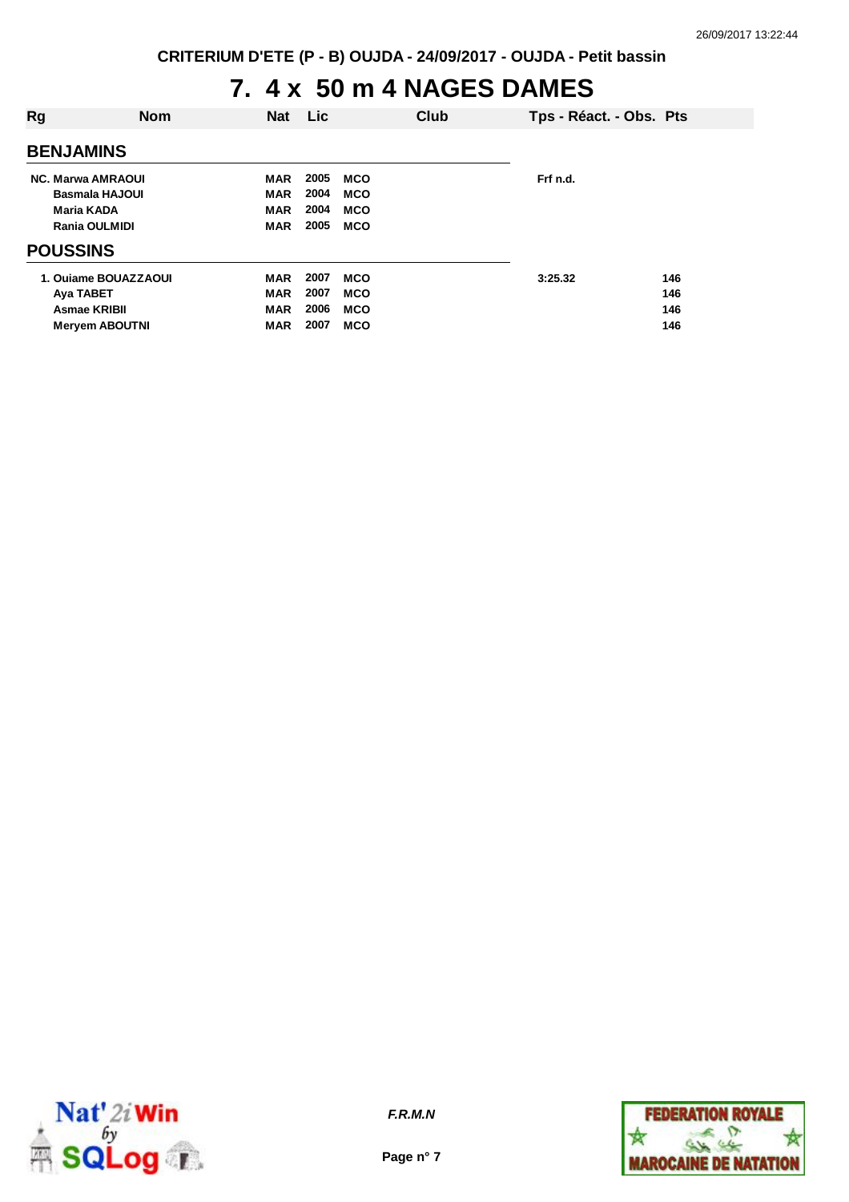## **7. 4 x 50 m 4 NAGES DAMES**

| <b>Rg</b>       | <b>Nom</b>                                                                        | <b>Nat</b>                                           | Lic                          |                                                      | Club | Tps - Réact. - Obs. Pts |                          |
|-----------------|-----------------------------------------------------------------------------------|------------------------------------------------------|------------------------------|------------------------------------------------------|------|-------------------------|--------------------------|
|                 | <b>BENJAMINS</b>                                                                  |                                                      |                              |                                                      |      |                         |                          |
|                 | <b>NC. Marwa AMRAOUI</b><br><b>Basmala HAJOUI</b><br>Maria KADA                   | <b>MAR</b><br><b>MAR</b><br><b>MAR</b>               | 2005<br>2004<br>2004         | <b>MCO</b><br><b>MCO</b><br><b>MCO</b>               |      | Frf n.d.                |                          |
| <b>POUSSINS</b> | <b>Rania OULMIDI</b>                                                              | <b>MAR</b>                                           | 2005                         | <b>MCO</b>                                           |      |                         |                          |
|                 | 1. Ouiame BOUAZZAOUI<br>Aya TABET<br><b>Asmae KRIBII</b><br><b>Meryem ABOUTNI</b> | <b>MAR</b><br><b>MAR</b><br><b>MAR</b><br><b>MAR</b> | 2007<br>2007<br>2006<br>2007 | <b>MCO</b><br><b>MCO</b><br><b>MCO</b><br><b>MCO</b> |      | 3:25.32                 | 146<br>146<br>146<br>146 |



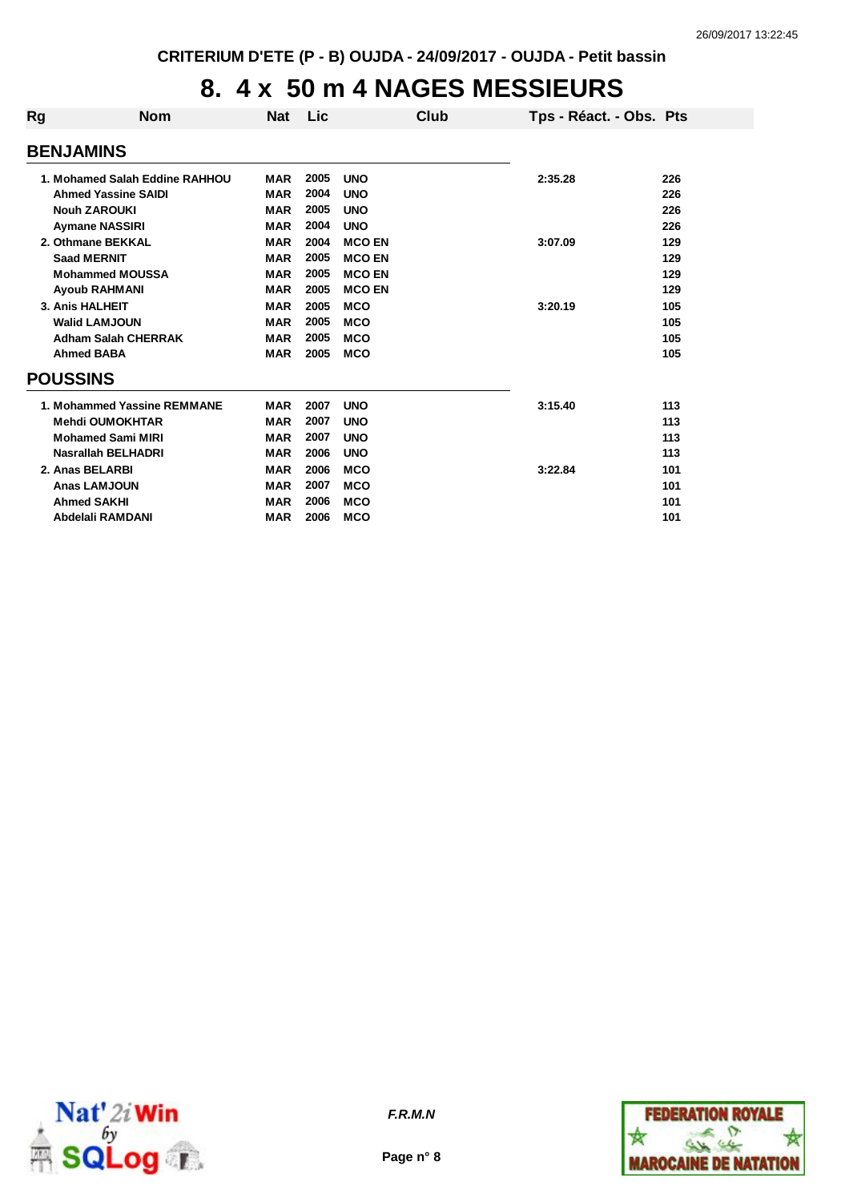#### **8. 4 x 50 m 4 NAGES MESSIEURS**

| Rg | <b>Nom</b>                     | <b>Nat</b> | <b>Lic</b> |               | Club | Tps - Réact. - Obs. Pts |     |
|----|--------------------------------|------------|------------|---------------|------|-------------------------|-----|
|    | <b>BENJAMINS</b>               |            |            |               |      |                         |     |
|    | 1. Mohamed Salah Eddine RAHHOU | <b>MAR</b> | 2005       | <b>UNO</b>    |      | 2:35.28                 | 226 |
|    | <b>Ahmed Yassine SAIDI</b>     | <b>MAR</b> | 2004       | <b>UNO</b>    |      |                         | 226 |
|    | <b>Nouh ZAROUKI</b>            | <b>MAR</b> | 2005       | <b>UNO</b>    |      |                         | 226 |
|    | <b>Aymane NASSIRI</b>          | <b>MAR</b> | 2004       | <b>UNO</b>    |      |                         | 226 |
|    | 2. Othmane BEKKAL              | <b>MAR</b> | 2004       | <b>MCO EN</b> |      | 3:07.09                 | 129 |
|    | <b>Saad MERNIT</b>             | <b>MAR</b> | 2005       | <b>MCO EN</b> |      |                         | 129 |
|    | <b>Mohammed MOUSSA</b>         | <b>MAR</b> | 2005       | <b>MCO EN</b> |      |                         | 129 |
|    | <b>Ayoub RAHMANI</b>           | <b>MAR</b> | 2005       | <b>MCO EN</b> |      |                         | 129 |
|    | 3. Anis HALHEIT                | <b>MAR</b> | 2005       | <b>MCO</b>    |      | 3:20.19                 | 105 |
|    | <b>Walid LAMJOUN</b>           | <b>MAR</b> | 2005       | <b>MCO</b>    |      |                         | 105 |
|    | <b>Adham Salah CHERRAK</b>     | <b>MAR</b> | 2005       | <b>MCO</b>    |      |                         | 105 |
|    | <b>Ahmed BABA</b>              | <b>MAR</b> | 2005       | <b>MCO</b>    |      |                         | 105 |
|    | <b>POUSSINS</b>                |            |            |               |      |                         |     |
|    | 1. Mohammed Yassine REMMANE    | <b>MAR</b> | 2007       | <b>UNO</b>    |      | 3:15.40                 | 113 |
|    | <b>Mehdi OUMOKHTAR</b>         | <b>MAR</b> | 2007       | <b>UNO</b>    |      |                         | 113 |
|    | <b>Mohamed Sami MIRI</b>       | <b>MAR</b> | 2007       | <b>UNO</b>    |      |                         | 113 |
|    | <b>Nasrallah BELHADRI</b>      | <b>MAR</b> | 2006       | <b>UNO</b>    |      |                         | 113 |
|    | 2. Anas BELARBI                | <b>MAR</b> | 2006       | <b>MCO</b>    |      | 3:22.84                 | 101 |
|    | <b>Anas LAMJOUN</b>            | <b>MAR</b> | 2007       | <b>MCO</b>    |      |                         | 101 |
|    | <b>Ahmed SAKHI</b>             | <b>MAR</b> | 2006       | <b>MCO</b>    |      |                         | 101 |
|    | Abdelali RAMDANI               | <b>MAR</b> | 2006       | <b>MCO</b>    |      |                         | 101 |



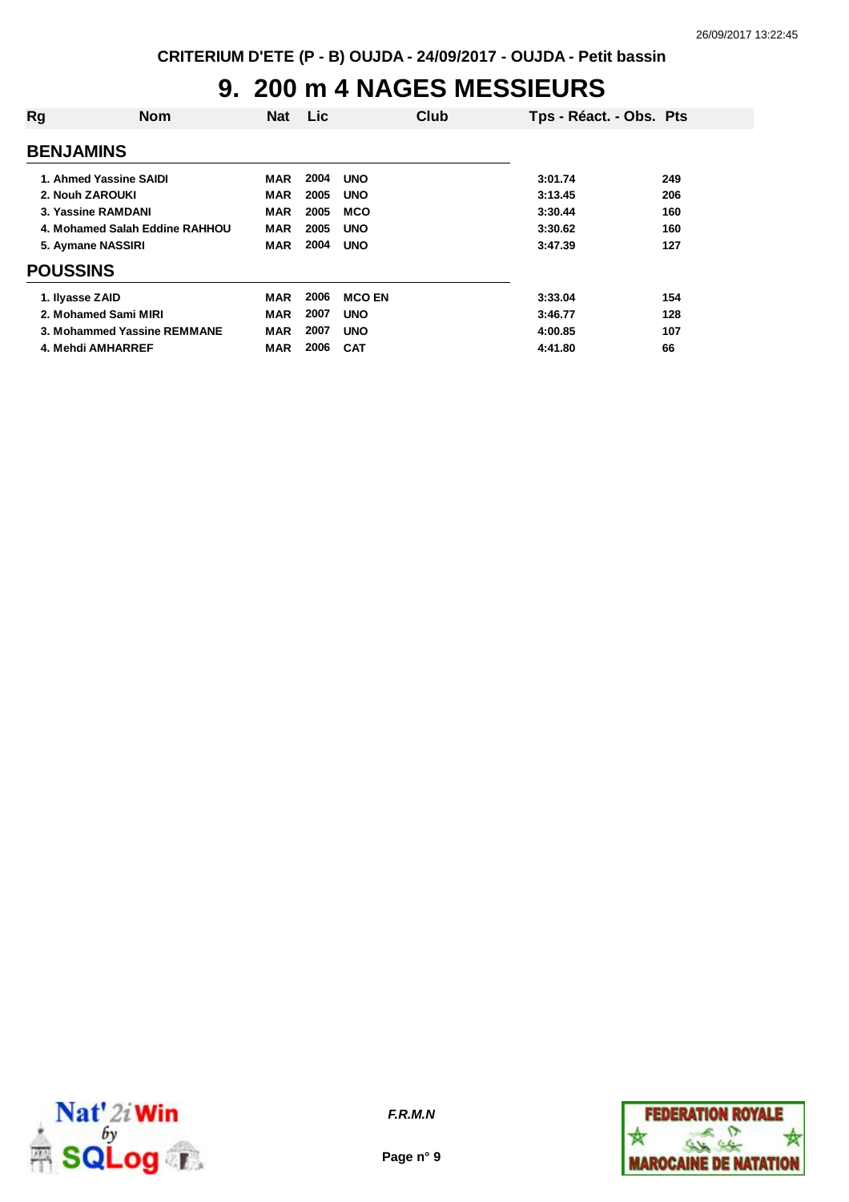## **9. 200 m 4 NAGES MESSIEURS**

| Rg                     | <b>Nom</b>                     | <b>Nat</b> | <b>Lic</b> |               | Club | Tps - Réact. - Obs. Pts |     |
|------------------------|--------------------------------|------------|------------|---------------|------|-------------------------|-----|
| <b>BENJAMINS</b>       |                                |            |            |               |      |                         |     |
| 1. Ahmed Yassine SAIDI |                                | MAR        | 2004       | <b>UNO</b>    |      | 3:01.74                 | 249 |
| 2. Nouh ZAROUKI        |                                | <b>MAR</b> | 2005       | <b>UNO</b>    |      | 3:13.45                 | 206 |
| 3. Yassine RAMDANI     |                                | <b>MAR</b> | 2005       | <b>MCO</b>    |      | 3:30.44                 | 160 |
|                        | 4. Mohamed Salah Eddine RAHHOU | <b>MAR</b> | 2005       | <b>UNO</b>    |      | 3:30.62                 | 160 |
| 5. Aymane NASSIRI      |                                | <b>MAR</b> | 2004       | <b>UNO</b>    |      | 3:47.39                 | 127 |
| <b>POUSSINS</b>        |                                |            |            |               |      |                         |     |
| 1. Ilyasse ZAID        |                                | MAR        | 2006       | <b>MCO EN</b> |      | 3:33.04                 | 154 |
| 2. Mohamed Sami MIRI   |                                | <b>MAR</b> | 2007       | <b>UNO</b>    |      | 3:46.77                 | 128 |
|                        | 3. Mohammed Yassine REMMANE    | <b>MAR</b> | 2007       | <b>UNO</b>    |      | 4:00.85                 | 107 |
| 4. Mehdi AMHARREF      |                                | MAR        | 2006       | <b>CAT</b>    |      | 4:41.80                 | 66  |



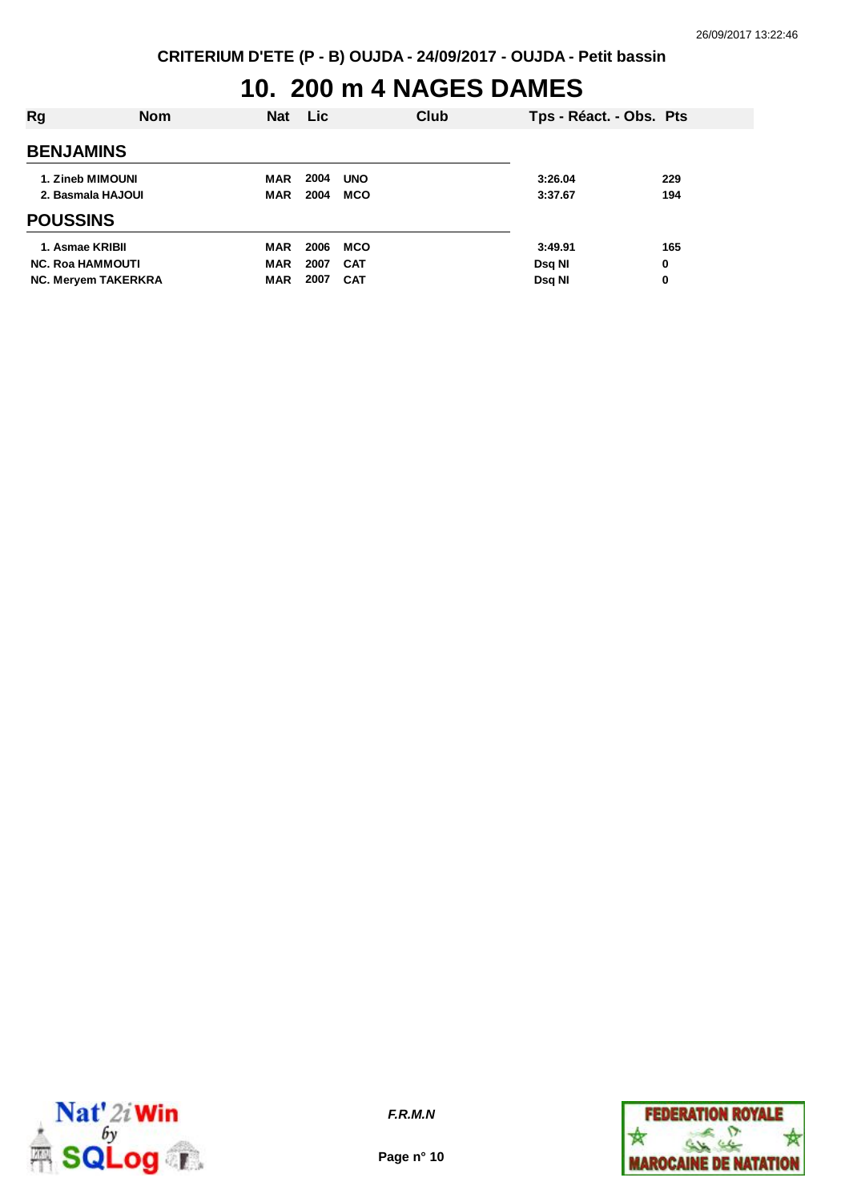## **10. 200 m 4 NAGES DAMES**

| Rg                                                                       | <b>Nom</b> | <b>Nat</b>                      | <b>Lic</b>           |                                        | Club | Tps - Réact. - Obs. Pts            |               |
|--------------------------------------------------------------------------|------------|---------------------------------|----------------------|----------------------------------------|------|------------------------------------|---------------|
| <b>BENJAMINS</b>                                                         |            |                                 |                      |                                        |      |                                    |               |
| 1. Zineb MIMOUNI<br>2. Basmala HAJOUI                                    |            | MAR<br><b>MAR</b>               | 2004<br>2004         | <b>UNO</b><br><b>MCO</b>               |      | 3:26.04<br>3:37.67                 | 229<br>194    |
| <b>POUSSINS</b>                                                          |            |                                 |                      |                                        |      |                                    |               |
| 1. Asmae KRIBII<br><b>NC. Roa HAMMOUTI</b><br><b>NC. Meryem TAKERKRA</b> |            | MAR<br><b>MAR</b><br><b>MAR</b> | 2006<br>2007<br>2007 | <b>MCO</b><br><b>CAT</b><br><b>CAT</b> |      | 3:49.91<br>Dsg NI<br><b>Dsg NI</b> | 165<br>0<br>0 |



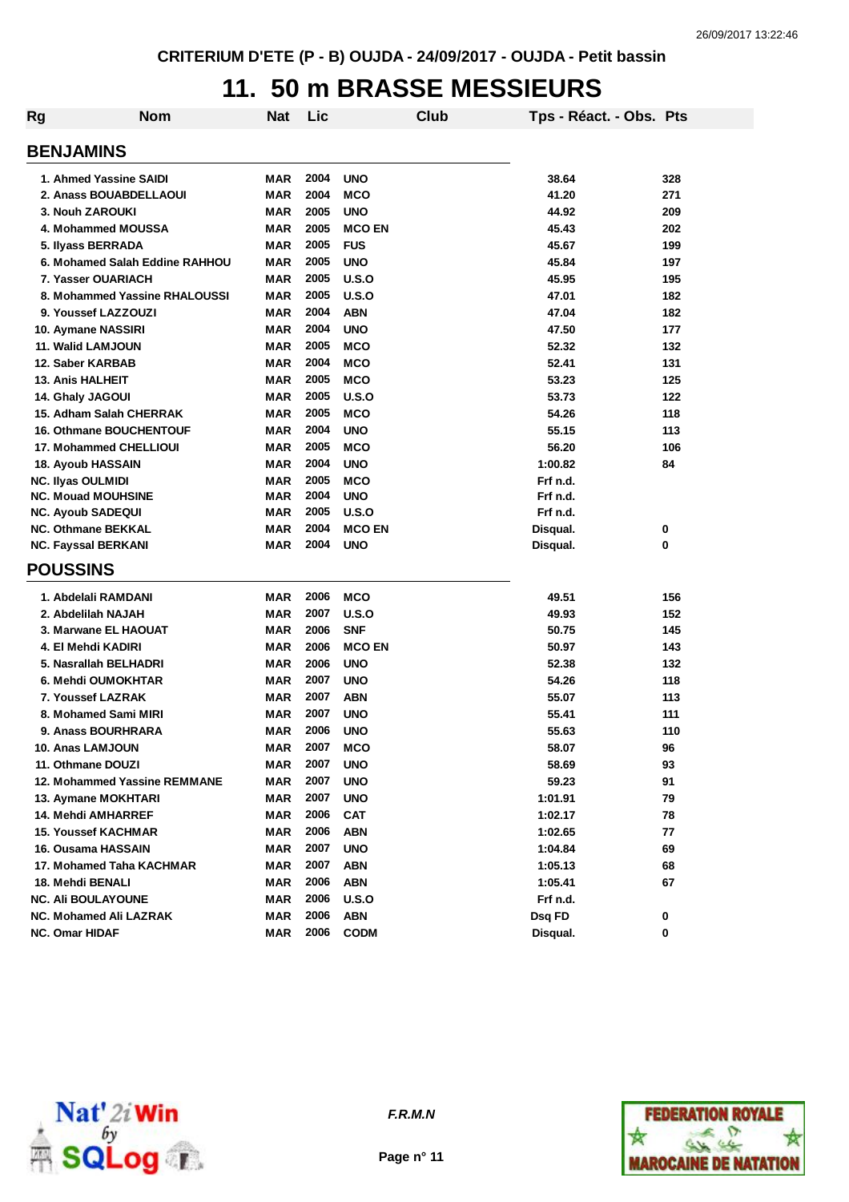## **11. 50 m BRASSE MESSIEURS**

| <b>Rg</b>                      | <b>Nom</b>                     | <b>Nat</b> | Lic  |               | <b>Club</b> | Tps - Réact. - Obs. Pts |     |
|--------------------------------|--------------------------------|------------|------|---------------|-------------|-------------------------|-----|
| <b>BENJAMINS</b>               |                                |            |      |               |             |                         |     |
| 1. Ahmed Yassine SAIDI         |                                | MAR        | 2004 | <b>UNO</b>    |             | 38.64                   | 328 |
| 2. Anass BOUABDELLAOUI         |                                | MAR        | 2004 | <b>MCO</b>    |             | 41.20                   | 271 |
| 3. Nouh ZAROUKI                |                                | <b>MAR</b> | 2005 | <b>UNO</b>    |             | 44.92                   | 209 |
| 4. Mohammed MOUSSA             |                                | <b>MAR</b> | 2005 | <b>MCO EN</b> |             | 45.43                   | 202 |
| 5. Ilyass BERRADA              |                                | <b>MAR</b> | 2005 | <b>FUS</b>    |             | 45.67                   | 199 |
|                                | 6. Mohamed Salah Eddine RAHHOU | <b>MAR</b> | 2005 | <b>UNO</b>    |             | 45.84                   | 197 |
| 7. Yasser OUARIACH             |                                | <b>MAR</b> | 2005 | U.S.O         |             | 45.95                   | 195 |
|                                | 8. Mohammed Yassine RHALOUSSI  | <b>MAR</b> | 2005 | U.S.O         |             | 47.01                   | 182 |
| 9. Youssef LAZZOUZI            |                                | <b>MAR</b> | 2004 | <b>ABN</b>    |             | 47.04                   | 182 |
| 10. Aymane NASSIRI             |                                | <b>MAR</b> | 2004 | <b>UNO</b>    |             | 47.50                   | 177 |
| 11. Walid LAMJOUN              |                                | <b>MAR</b> | 2005 | <b>MCO</b>    |             | 52.32                   | 132 |
| 12. Saber KARBAB               |                                | <b>MAR</b> | 2004 | <b>MCO</b>    |             | 52.41                   | 131 |
| <b>13. Anis HALHEIT</b>        |                                | <b>MAR</b> | 2005 | <b>MCO</b>    |             | 53.23                   | 125 |
| 14. Ghaly JAGOUI               |                                | <b>MAR</b> | 2005 | U.S.O         |             | 53.73                   | 122 |
| 15. Adham Salah CHERRAK        |                                | <b>MAR</b> | 2005 | <b>MCO</b>    |             | 54.26                   | 118 |
| <b>16. Othmane BOUCHENTOUF</b> |                                | MAR        | 2004 | <b>UNO</b>    |             | 55.15                   | 113 |
| 17. Mohammed CHELLIOUI         |                                | <b>MAR</b> | 2005 | <b>MCO</b>    |             | 56.20                   | 106 |
| <b>18. Ayoub HASSAIN</b>       |                                | <b>MAR</b> | 2004 | <b>UNO</b>    |             | 1:00.82                 | 84  |
| <b>NC. Ilyas OULMIDI</b>       |                                | <b>MAR</b> | 2005 | <b>MCO</b>    |             | Frf n.d.                |     |
| <b>NC. Mouad MOUHSINE</b>      |                                | <b>MAR</b> | 2004 | <b>UNO</b>    |             | Frf n.d.                |     |
| <b>NC. Ayoub SADEQUI</b>       |                                | MAR        | 2005 | U.S.O         |             | Frf n.d.                |     |
| <b>NC. Othmane BEKKAL</b>      |                                | MAR        | 2004 | <b>MCO EN</b> |             | Disqual.                | 0   |
| <b>NC. Fayssal BERKANI</b>     |                                | <b>MAR</b> | 2004 | <b>UNO</b>    |             | Disqual.                | 0   |
| <b>POUSSINS</b>                |                                |            |      |               |             |                         |     |
|                                |                                |            |      |               |             |                         |     |
| 1. Abdelali RAMDANI            |                                | MAR        | 2006 | <b>MCO</b>    |             | 49.51                   | 156 |
| 2. Abdelilah NAJAH             |                                | <b>MAR</b> | 2007 | U.S.O         |             | 49.93                   | 152 |
| 3. Marwane EL HAOUAT           |                                | <b>MAR</b> | 2006 | <b>SNF</b>    |             | 50.75                   | 145 |
| 4. El Mehdi KADIRI             |                                | <b>MAR</b> | 2006 | <b>MCO EN</b> |             | 50.97                   | 143 |
| 5. Nasrallah BELHADRI          |                                | <b>MAR</b> | 2006 | <b>UNO</b>    |             | 52.38                   | 132 |
| 6. Mehdi OUMOKHTAR             |                                | <b>MAR</b> | 2007 | <b>UNO</b>    |             | 54.26                   | 118 |
| 7. Youssef LAZRAK              |                                | <b>MAR</b> | 2007 | <b>ABN</b>    |             | 55.07                   | 113 |
| 8. Mohamed Sami MIRI           |                                | <b>MAR</b> | 2007 | <b>UNO</b>    |             | 55.41                   | 111 |
| 9. Anass BOURHRARA             |                                | <b>MAR</b> | 2006 | <b>UNO</b>    |             | 55.63                   | 110 |
| 10. Anas LAMJOUN               |                                | MAR        | 2007 | <b>MCO</b>    |             | 58.07                   | 96  |
| 11. Othmane DOUZI              |                                | MAR        | 2007 | <b>UNO</b>    |             | 58.69                   | 93  |
|                                | 12. Mohammed Yassine REMMANE   | <b>MAR</b> | 2007 | <b>UNO</b>    |             | 59.23                   | 91  |
| 13. Aymane MOKHTARI            |                                | MAR        | 2007 | <b>UNO</b>    |             | 1:01.91                 | 79  |
| 14. Mehdi AMHARREF             |                                | MAR        | 2006 | <b>CAT</b>    |             | 1:02.17                 | 78  |
| <b>15. Youssef KACHMAR</b>     |                                | <b>MAR</b> | 2006 | <b>ABN</b>    |             | 1:02.65                 | 77  |
| 16. Ousama HASSAIN             |                                | <b>MAR</b> | 2007 | <b>UNO</b>    |             | 1:04.84                 | 69  |
|                                | 17. Mohamed Taha KACHMAR       | MAR        | 2007 | <b>ABN</b>    |             | 1:05.13                 | 68  |
| 18. Mehdi BENALI               |                                | MAR        | 2006 | <b>ABN</b>    |             | 1:05.41                 | 67  |
| <b>NC. Ali BOULAYOUNE</b>      |                                | <b>MAR</b> | 2006 | U.S.O         |             | Frf n.d.                |     |
| NC. Mohamed Ali LAZRAK         |                                | <b>MAR</b> | 2006 | <b>ABN</b>    |             | Dsq FD                  | 0   |
| <b>NC. Omar HIDAF</b>          |                                | <b>MAR</b> | 2006 | <b>CODM</b>   |             | Disqual.                | 0   |



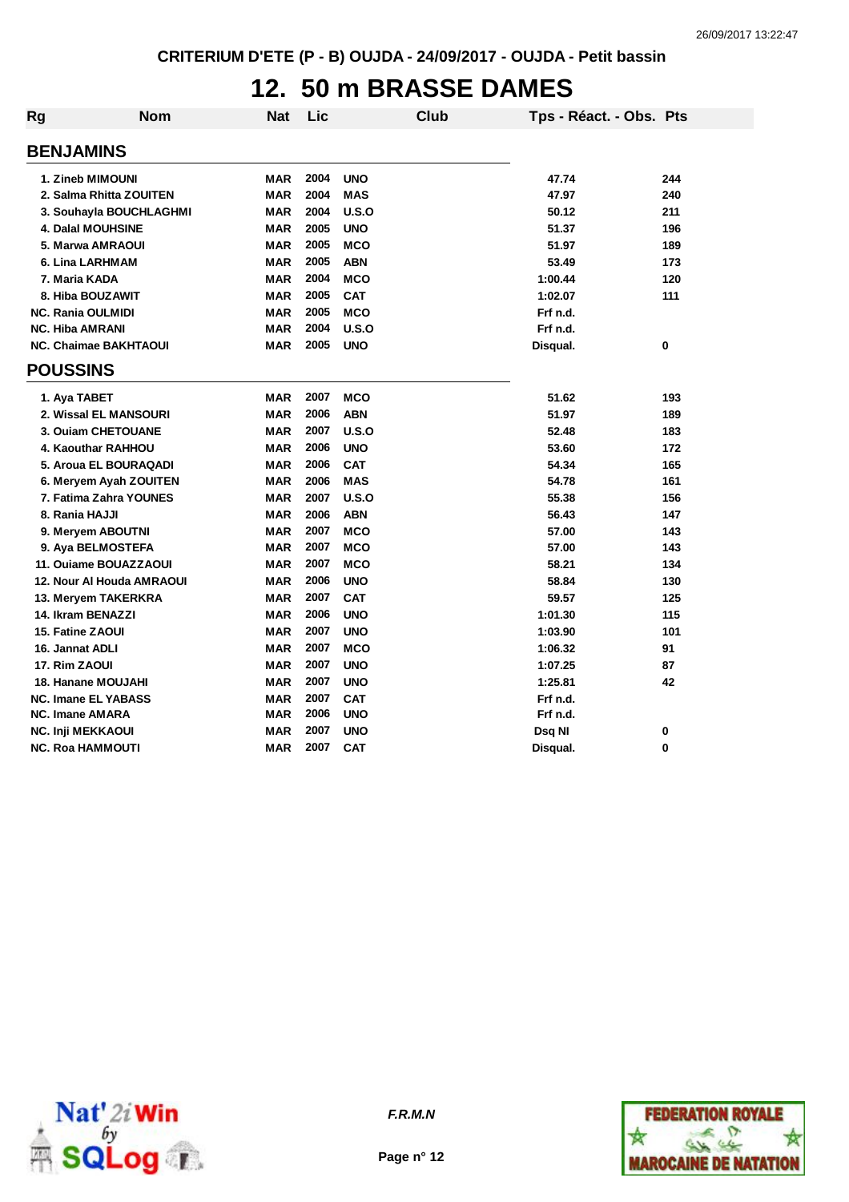#### **12. 50 m BRASSE DAMES**

| Rg | <b>Nom</b>                   | Nat        | Lic  |            | <b>Club</b> | Tps - Réact. - Obs. Pts |     |
|----|------------------------------|------------|------|------------|-------------|-------------------------|-----|
|    | <b>BENJAMINS</b>             |            |      |            |             |                         |     |
|    | 1. Zineb MIMOUNI             | <b>MAR</b> | 2004 | <b>UNO</b> |             | 47.74                   | 244 |
|    | 2. Salma Rhitta ZOUITEN      | <b>MAR</b> | 2004 | <b>MAS</b> |             | 47.97                   | 240 |
|    | 3. Souhayla BOUCHLAGHMI      | <b>MAR</b> | 2004 | U.S.O      |             | 50.12                   | 211 |
|    | 4. Dalal MOUHSINE            | <b>MAR</b> | 2005 | <b>UNO</b> |             | 51.37                   | 196 |
|    | 5. Marwa AMRAOUI             | <b>MAR</b> | 2005 | <b>MCO</b> |             | 51.97                   | 189 |
|    | 6. Lina LARHMAM              | <b>MAR</b> | 2005 | <b>ABN</b> |             | 53.49                   | 173 |
|    | 7. Maria KADA                | <b>MAR</b> | 2004 | <b>MCO</b> |             | 1:00.44                 | 120 |
|    | 8. Hiba BOUZAWIT             | <b>MAR</b> | 2005 | <b>CAT</b> |             | 1:02.07                 | 111 |
|    | <b>NC. Rania OULMIDI</b>     | <b>MAR</b> | 2005 | <b>MCO</b> |             | Frf n.d.                |     |
|    | <b>NC. Hiba AMRANI</b>       | <b>MAR</b> | 2004 | U.S.O      |             | Frf n.d.                |     |
|    | <b>NC. Chaimae BAKHTAOUI</b> | <b>MAR</b> | 2005 | <b>UNO</b> |             | Disqual.                | 0   |
|    | <b>POUSSINS</b>              |            |      |            |             |                         |     |
|    | 1. Aya TABET                 | <b>MAR</b> | 2007 | <b>MCO</b> |             | 51.62                   | 193 |
|    | 2. Wissal EL MANSOURI        | <b>MAR</b> | 2006 | <b>ABN</b> |             | 51.97                   | 189 |
|    | 3. Ouiam CHETOUANE           | <b>MAR</b> | 2007 | U.S.O      |             | 52.48                   | 183 |
|    | 4. Kaouthar RAHHOU           | <b>MAR</b> | 2006 | <b>UNO</b> |             | 53.60                   | 172 |
|    | 5. Aroua EL BOURAQADI        | <b>MAR</b> | 2006 | <b>CAT</b> |             | 54.34                   | 165 |
|    | 6. Meryem Ayah ZOUITEN       | <b>MAR</b> | 2006 | <b>MAS</b> |             | 54.78                   | 161 |
|    | 7. Fatima Zahra YOUNES       | <b>MAR</b> | 2007 | U.S.O      |             | 55.38                   | 156 |
|    | 8. Rania HAJJI               | <b>MAR</b> | 2006 | <b>ABN</b> |             | 56.43                   | 147 |
|    | 9. Meryem ABOUTNI            | <b>MAR</b> | 2007 | <b>MCO</b> |             | 57.00                   | 143 |
|    | 9. Aya BELMOSTEFA            | <b>MAR</b> | 2007 | <b>MCO</b> |             | 57.00                   | 143 |
|    | 11. Ouiame BOUAZZAOUI        | <b>MAR</b> | 2007 | <b>MCO</b> |             | 58.21                   | 134 |
|    | 12. Nour Al Houda AMRAOUI    | <b>MAR</b> | 2006 | <b>UNO</b> |             | 58.84                   | 130 |
|    | 13. Meryem TAKERKRA          | <b>MAR</b> | 2007 | <b>CAT</b> |             | 59.57                   | 125 |
|    | 14. Ikram BENAZZI            | <b>MAR</b> | 2006 | <b>UNO</b> |             | 1:01.30                 | 115 |
|    | 15. Fatine ZAOUI             | <b>MAR</b> | 2007 | <b>UNO</b> |             | 1:03.90                 | 101 |
|    | 16. Jannat ADLI              | <b>MAR</b> | 2007 | <b>MCO</b> |             | 1:06.32                 | 91  |
|    | 17. Rim ZAOUI                | <b>MAR</b> | 2007 | <b>UNO</b> |             | 1:07.25                 | 87  |
|    | 18. Hanane MOUJAHI           | <b>MAR</b> | 2007 | <b>UNO</b> |             | 1:25.81                 | 42  |
|    | <b>NC. Imane EL YABASS</b>   | <b>MAR</b> | 2007 | <b>CAT</b> |             | Frf n.d.                |     |
|    | <b>NC. Imane AMARA</b>       | MAR        | 2006 | <b>UNO</b> |             | Frf n.d.                |     |
|    | <b>NC. Inji MEKKAOUI</b>     | <b>MAR</b> | 2007 | <b>UNO</b> |             | Dsq NI                  | 0   |
|    | NC. Roa HAMMOUTI             | <b>MAR</b> | 2007 | <b>CAT</b> |             | Disqual.                | 0   |



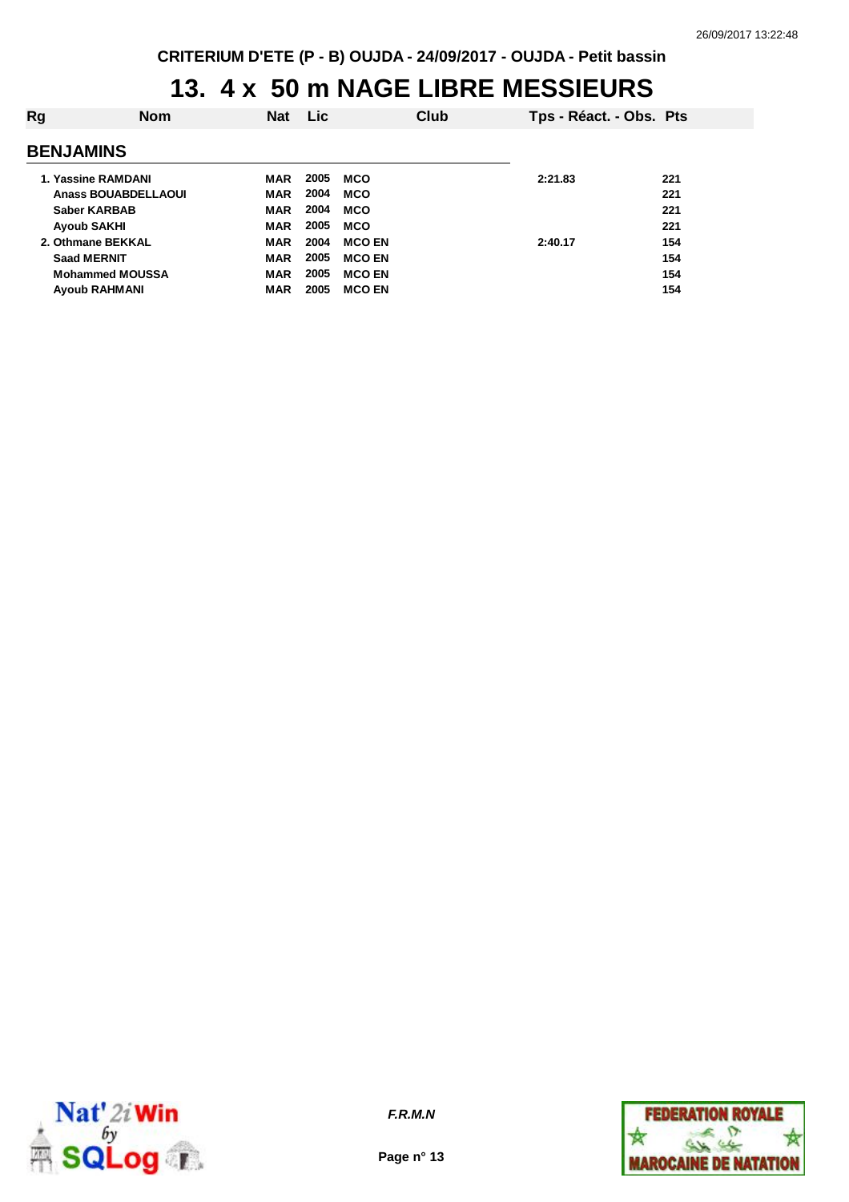#### **13. 4 x 50 m NAGE LIBRE MESSIEURS**

| Rg                         | <b>Nom</b>           | <b>Nat</b> | <b>Lic</b> |               | Club | Tps - Réact. - Obs. Pts |     |
|----------------------------|----------------------|------------|------------|---------------|------|-------------------------|-----|
| <b>BENJAMINS</b>           |                      |            |            |               |      |                         |     |
| 1. Yassine RAMDANI         |                      | MAR        | 2005       | MCO           |      | 2:21.83                 | 221 |
| <b>Anass BOUABDELLAOUI</b> |                      | <b>MAR</b> | 2004       | <b>MCO</b>    |      |                         | 221 |
| <b>Saber KARBAB</b>        |                      | <b>MAR</b> | 2004       | <b>MCO</b>    |      |                         | 221 |
| <b>Ayoub SAKHI</b>         |                      | <b>MAR</b> | 2005       | <b>MCO</b>    |      |                         | 221 |
| 2. Othmane BEKKAL          |                      | <b>MAR</b> | 2004       | <b>MCO EN</b> |      | 2:40.17                 | 154 |
| <b>Saad MERNIT</b>         |                      | <b>MAR</b> | 2005       | <b>MCO EN</b> |      |                         | 154 |
| <b>Mohammed MOUSSA</b>     |                      | <b>MAR</b> | 2005       | <b>MCO EN</b> |      |                         | 154 |
|                            | <b>Ayoub RAHMANI</b> | <b>MAR</b> | 2005       | <b>MCO EN</b> |      |                         | 154 |
|                            |                      |            |            |               |      |                         |     |